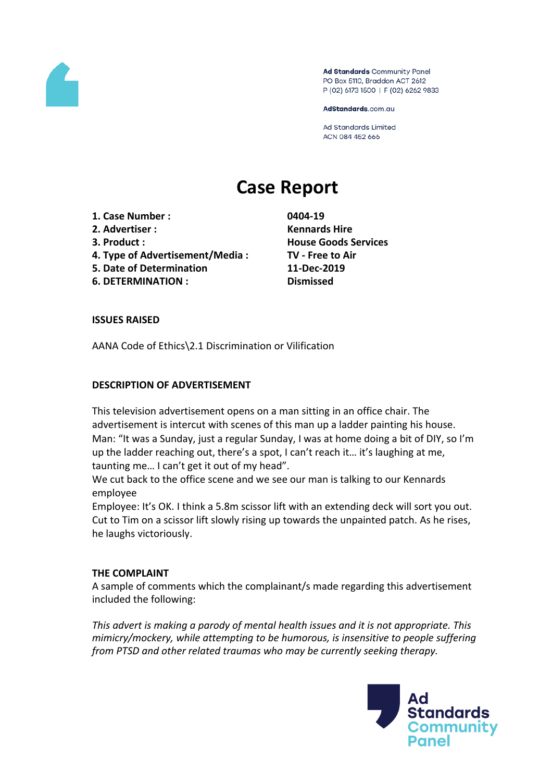

Ad Standards Community Panel PO Box 5110, Braddon ACT 2612 P (02) 6173 1500 | F (02) 6262 9833

AdStandards.com.au

**Ad Standards Limited** ACN 084 452 666

# **Case Report**

- **1. Case Number : 0404-19**
- **2. Advertiser : Kennards Hire**
- 
- **4. Type of Advertisement/Media : TV - Free to Air**
- **5. Date of Determination 11-Dec-2019**
- **6. DETERMINATION : Dismissed**

**3. Product : House Goods Services**

## **ISSUES RAISED**

AANA Code of Ethics\2.1 Discrimination or Vilification

#### **DESCRIPTION OF ADVERTISEMENT**

This television advertisement opens on a man sitting in an office chair. The advertisement is intercut with scenes of this man up a ladder painting his house. Man: "It was a Sunday, just a regular Sunday, I was at home doing a bit of DIY, so I'm up the ladder reaching out, there's a spot, I can't reach it… it's laughing at me, taunting me… I can't get it out of my head".

We cut back to the office scene and we see our man is talking to our Kennards employee

Employee: It's OK. I think a 5.8m scissor lift with an extending deck will sort you out. Cut to Tim on a scissor lift slowly rising up towards the unpainted patch. As he rises, he laughs victoriously.

#### **THE COMPLAINT**

A sample of comments which the complainant/s made regarding this advertisement included the following:

*This advert is making a parody of mental health issues and it is not appropriate. This mimicry/mockery, while attempting to be humorous, is insensitive to people suffering from PTSD and other related traumas who may be currently seeking therapy.*

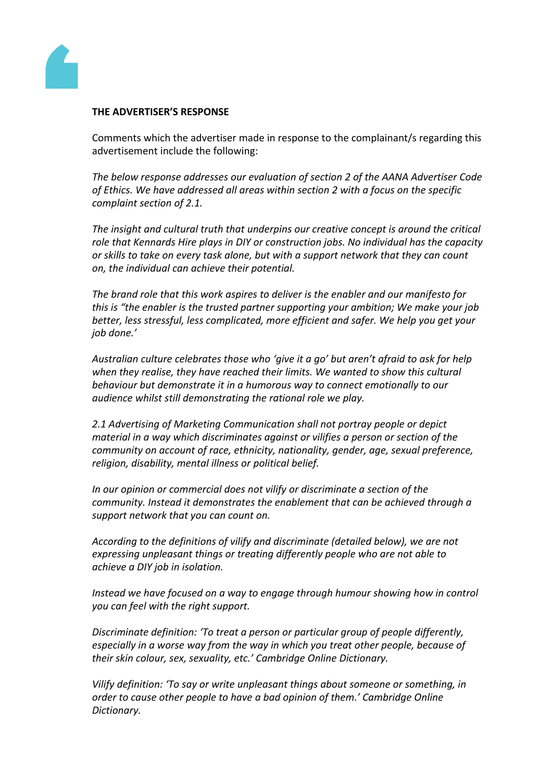

#### **THE ADVERTISER'S RESPONSE**

Comments which the advertiser made in response to the complainant/s regarding this advertisement include the following:

*The below response addresses our evaluation of section 2 of the AANA Advertiser Code of Ethics. We have addressed all areas within section 2 with a focus on the specific complaint section of 2.1.*

*The insight and cultural truth that underpins our creative concept is around the critical role that Kennards Hire plays in DIY or construction jobs. No individual has the capacity or skills to take on every task alone, but with a support network that they can count on, the individual can achieve their potential.*

*The brand role that this work aspires to deliver is the enabler and our manifesto for this is "the enabler is the trusted partner supporting your ambition; We make your job better, less stressful, less complicated, more efficient and safer. We help you get your job done.'*

*Australian culture celebrates those who 'give it a go' but aren't afraid to ask for help when they realise, they have reached their limits. We wanted to show this cultural behaviour but demonstrate it in a humorous way to connect emotionally to our audience whilst still demonstrating the rational role we play.*

*2.1 Advertising of Marketing Communication shall not portray people or depict material in a way which discriminates against or vilifies a person or section of the community on account of race, ethnicity, nationality, gender, age, sexual preference, religion, disability, mental illness or political belief.*

*In our opinion or commercial does not vilify or discriminate a section of the community. Instead it demonstrates the enablement that can be achieved through a support network that you can count on.*

*According to the definitions of vilify and discriminate (detailed below), we are not expressing unpleasant things or treating differently people who are not able to achieve a DIY job in isolation.*

*Instead we have focused on a way to engage through humour showing how in control you can feel with the right support.*

*Discriminate definition: 'To treat a person or particular group of people differently, especially in a worse way from the way in which you treat other people, because of their skin colour, sex, sexuality, etc.' Cambridge Online Dictionary.*

*Vilify definition: 'To say or write unpleasant things about someone or something, in order to cause other people to have a bad opinion of them.' Cambridge Online Dictionary.*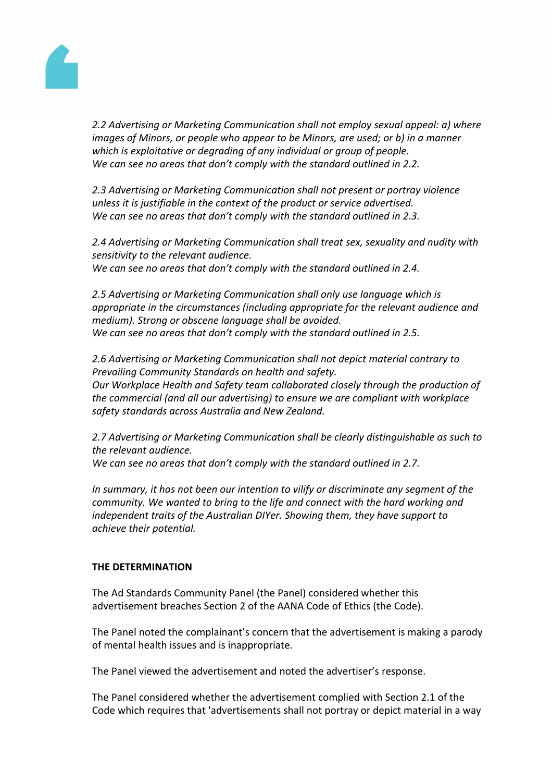

*2.2 Advertising or Marketing Communication shall not employ sexual appeal: a) where images of Minors, or people who appear to be Minors, are used; or b) in a manner which is exploitative or degrading of any individual or group of people. We can see no areas that don't comply with the standard outlined in 2.2.*

*2.3 Advertising or Marketing Communication shall not present or portray violence unless it is justifiable in the context of the product or service advertised. We can see no areas that don't comply with the standard outlined in 2.3.*

*2.4 Advertising or Marketing Communication shall treat sex, sexuality and nudity with sensitivity to the relevant audience. We can see no areas that don't comply with the standard outlined in 2.4.*

*2.5 Advertising or Marketing Communication shall only use language which is appropriate in the circumstances (including appropriate for the relevant audience and medium). Strong or obscene language shall be avoided. We can see no areas that don't comply with the standard outlined in 2.5.*

*2.6 Advertising or Marketing Communication shall not depict material contrary to Prevailing Community Standards on health and safety. Our Workplace Health and Safety team collaborated closely through the production of the commercial (and all our advertising) to ensure we are compliant with workplace safety standards across Australia and New Zealand.*

*2.7 Advertising or Marketing Communication shall be clearly distinguishable as such to the relevant audience.*

*We can see no areas that don't comply with the standard outlined in 2.7.*

*In summary, it has not been our intention to vilify or discriminate any segment of the community. We wanted to bring to the life and connect with the hard working and independent traits of the Australian DIYer. Showing them, they have support to achieve their potential.*

# **THE DETERMINATION**

The Ad Standards Community Panel (the Panel) considered whether this advertisement breaches Section 2 of the AANA Code of Ethics (the Code).

The Panel noted the complainant's concern that the advertisement is making a parody of mental health issues and is inappropriate.

The Panel viewed the advertisement and noted the advertiser's response.

The Panel considered whether the advertisement complied with Section 2.1 of the Code which requires that 'advertisements shall not portray or depict material in a way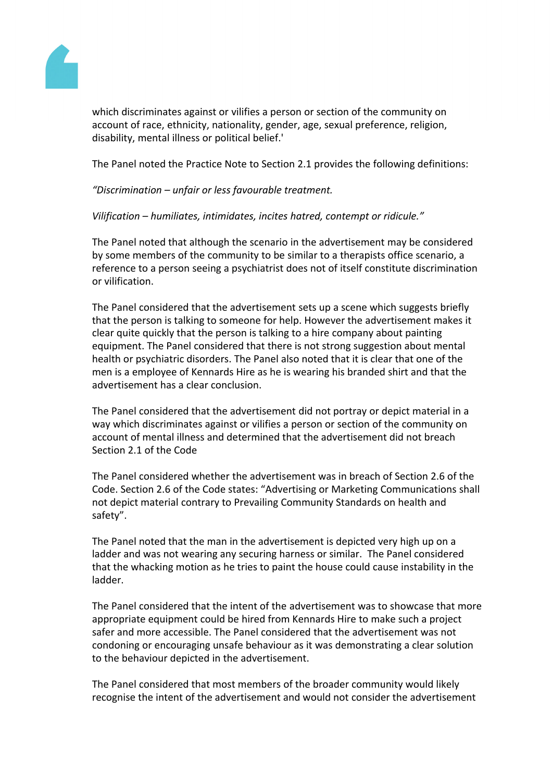

which discriminates against or vilifies a person or section of the community on account of race, ethnicity, nationality, gender, age, sexual preference, religion, disability, mental illness or political belief.'

The Panel noted the Practice Note to Section 2.1 provides the following definitions:

*"Discrimination – unfair or less favourable treatment.*

## *Vilification – humiliates, intimidates, incites hatred, contempt or ridicule."*

The Panel noted that although the scenario in the advertisement may be considered by some members of the community to be similar to a therapists office scenario, a reference to a person seeing a psychiatrist does not of itself constitute discrimination or vilification.

The Panel considered that the advertisement sets up a scene which suggests briefly that the person is talking to someone for help. However the advertisement makes it clear quite quickly that the person is talking to a hire company about painting equipment. The Panel considered that there is not strong suggestion about mental health or psychiatric disorders. The Panel also noted that it is clear that one of the men is a employee of Kennards Hire as he is wearing his branded shirt and that the advertisement has a clear conclusion.

The Panel considered that the advertisement did not portray or depict material in a way which discriminates against or vilifies a person or section of the community on account of mental illness and determined that the advertisement did not breach Section 2.1 of the Code

The Panel considered whether the advertisement was in breach of Section 2.6 of the Code. Section 2.6 of the Code states: "Advertising or Marketing Communications shall not depict material contrary to Prevailing Community Standards on health and safety".

The Panel noted that the man in the advertisement is depicted very high up on a ladder and was not wearing any securing harness or similar. The Panel considered that the whacking motion as he tries to paint the house could cause instability in the ladder.

The Panel considered that the intent of the advertisement was to showcase that more appropriate equipment could be hired from Kennards Hire to make such a project safer and more accessible. The Panel considered that the advertisement was not condoning or encouraging unsafe behaviour as it was demonstrating a clear solution to the behaviour depicted in the advertisement.

The Panel considered that most members of the broader community would likely recognise the intent of the advertisement and would not consider the advertisement